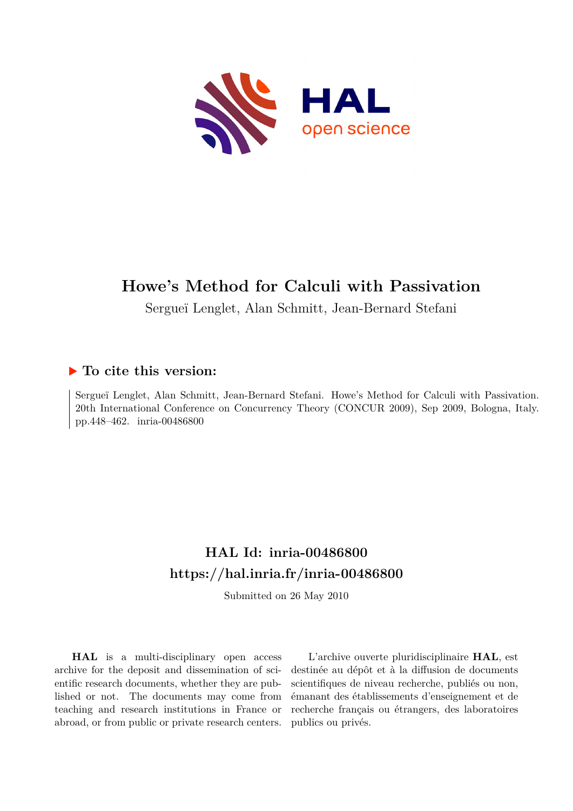

# **Howe's Method for Calculi with Passivation**

Sergueï Lenglet, Alan Schmitt, Jean-Bernard Stefani

# **To cite this version:**

Sergueï Lenglet, Alan Schmitt, Jean-Bernard Stefani. Howe's Method for Calculi with Passivation. 20th International Conference on Concurrency Theory (CONCUR 2009), Sep 2009, Bologna, Italy. pp.448–462. inria-00486800

# **HAL Id: inria-00486800 <https://hal.inria.fr/inria-00486800>**

Submitted on 26 May 2010

**HAL** is a multi-disciplinary open access archive for the deposit and dissemination of scientific research documents, whether they are published or not. The documents may come from teaching and research institutions in France or abroad, or from public or private research centers.

L'archive ouverte pluridisciplinaire **HAL**, est destinée au dépôt et à la diffusion de documents scientifiques de niveau recherche, publiés ou non, émanant des établissements d'enseignement et de recherche français ou étrangers, des laboratoires publics ou privés.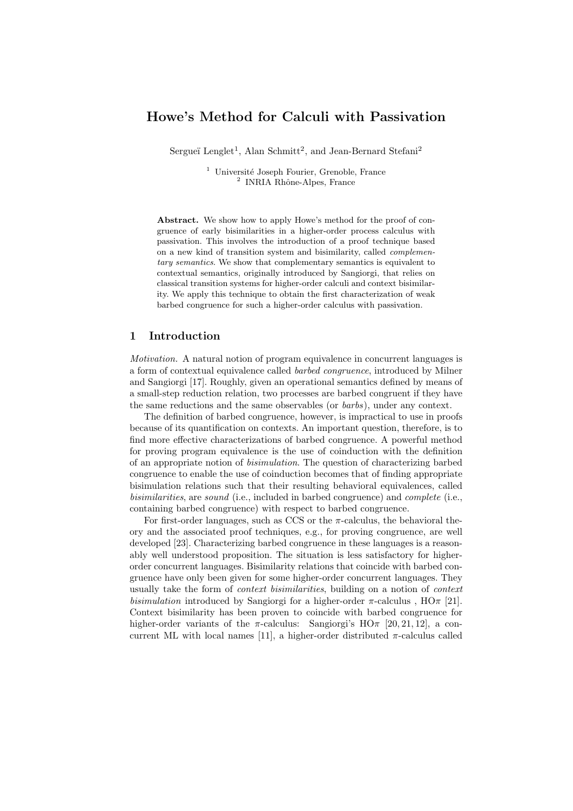## Howe's Method for Calculi with Passivation

Sergueï Lenglet<sup>1</sup>, Alan Schmitt<sup>2</sup>, and Jean-Bernard Stefani<sup>2</sup>

 $1$  Université Joseph Fourier, Grenoble, France <sup>2</sup> INRIA Rhône-Alpes, France

Abstract. We show how to apply Howe's method for the proof of congruence of early bisimilarities in a higher-order process calculus with passivation. This involves the introduction of a proof technique based on a new kind of transition system and bisimilarity, called *complementary semantics*. We show that complementary semantics is equivalent to contextual semantics, originally introduced by Sangiorgi, that relies on classical transition systems for higher-order calculi and context bisimilarity. We apply this technique to obtain the first characterization of weak barbed congruence for such a higher-order calculus with passivation.

### 1 Introduction

Motivation. A natural notion of program equivalence in concurrent languages is a form of contextual equivalence called barbed congruence, introduced by Milner and Sangiorgi [17]. Roughly, given an operational semantics defined by means of a small-step reduction relation, two processes are barbed congruent if they have the same reductions and the same observables (or barbs), under any context.

The definition of barbed congruence, however, is impractical to use in proofs because of its quantification on contexts. An important question, therefore, is to find more effective characterizations of barbed congruence. A powerful method for proving program equivalence is the use of coinduction with the definition of an appropriate notion of bisimulation. The question of characterizing barbed congruence to enable the use of coinduction becomes that of finding appropriate bisimulation relations such that their resulting behavioral equivalences, called bisimilarities, are sound (i.e., included in barbed congruence) and complete (i.e., containing barbed congruence) with respect to barbed congruence.

For first-order languages, such as CCS or the  $\pi$ -calculus, the behavioral theory and the associated proof techniques, e.g., for proving congruence, are well developed [23]. Characterizing barbed congruence in these languages is a reasonably well understood proposition. The situation is less satisfactory for higherorder concurrent languages. Bisimilarity relations that coincide with barbed congruence have only been given for some higher-order concurrent languages. They usually take the form of context bisimilarities, building on a notion of context bisimulation introduced by Sangiorgi for a higher-order  $\pi$ -calculus,  $HO\pi$  [21]. Context bisimilarity has been proven to coincide with barbed congruence for higher-order variants of the  $\pi$ -calculus: Sangiorgi's  $H\dot{\Omega}_{\pi}$  [20, 21, 12], a concurrent ML with local names [11], a higher-order distributed  $\pi$ -calculus called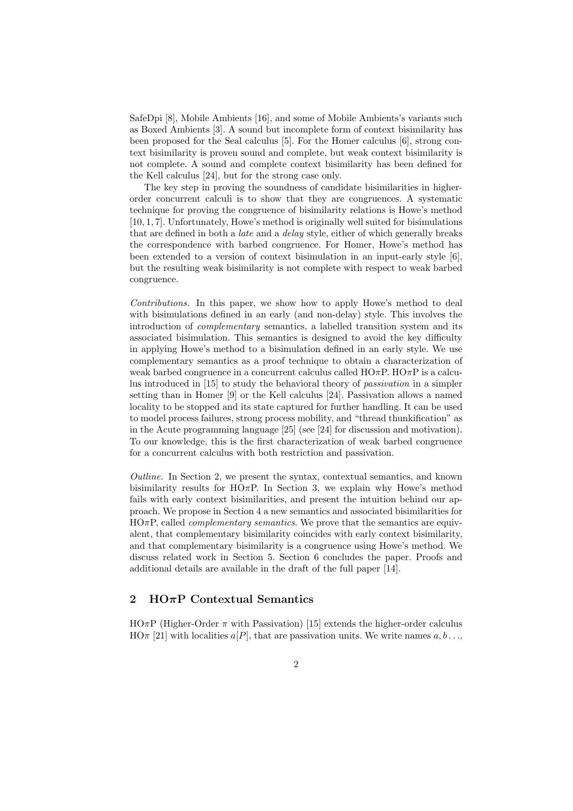SafeDpi [8], Mobile Ambients [16], and some of Mobile Ambients's variants such as Boxed Ambients [3]. A sound but incomplete form of context bisimilarity has been proposed for the Seal calculus [5]. For the Homer calculus [6], strong context bisimilarity is proven sound and complete, but weak context bisimilarity is not complete. A sound and complete context bisimilarity has been defined for the Kell calculus [24], but for the strong case only.

The key step in proving the soundness of candidate bisimilarities in higherorder concurrent calculi is to show that they are congruences. A systematic technique for proving the congruence of bisimilarity relations is Howe's method [10, 1, 7]. Unfortunately, Howe's method is originally well suited for bisimulations that are defined in both a *late* and a *delay* style, either of which generally breaks the correspondence with barbed congruence. For Homer, Howe's method has been extended to a version of context bisimulation in an input-early style [6], but the resulting weak bisimilarity is not complete with respect to weak barbed congruence.

Contributions. In this paper, we show how to apply Howe's method to deal with bisimulations defined in an early (and non-delay) style. This involves the introduction of complementary semantics, a labelled transition system and its associated bisimulation. This semantics is designed to avoid the key difficulty in applying Howe's method to a bisimulation defined in an early style. We use complementary semantics as a proof technique to obtain a characterization of weak barbed congruence in a concurrent calculus called  $H\text{O}\pi\text{P}$ .  $H\text{O}\pi\text{P}$  is a calculus introduced in [15] to study the behavioral theory of passivation in a simpler setting than in Homer [9] or the Kell calculus [24]. Passivation allows a named locality to be stopped and its state captured for further handling. It can be used to model process failures, strong process mobility, and "thread thunkification" as in the Acute programming language [25] (see [24] for discussion and motivation). To our knowledge, this is the first characterization of weak barbed congruence for a concurrent calculus with both restriction and passivation.

Outline. In Section 2, we present the syntax, contextual semantics, and known bisimilarity results for HO $\pi$ P. In Section 3, we explain why Howe's method fails with early context bisimilarities, and present the intuition behind our approach. We propose in Section 4 a new semantics and associated bisimilarities for  $HO\pi P$ , called *complementary semantics*. We prove that the semantics are equivalent, that complementary bisimilarity coincides with early context bisimilarity, and that complementary bisimilarity is a congruence using Howe's method. We discuss related work in Section 5. Section 6 concludes the paper. Proofs and additional details are available in the draft of the full paper [14].

### 2  $H\Omega \pi P$  Contextual Semantics

 $H\ddot{\Omega}_{\mathcal{A}}P$  (Higher-Order  $\pi$  with Passivation) [15] extends the higher-order calculus  $H\Omega \pi$  [21] with localities  $a[P]$ , that are passivation units. We write names  $a, b \ldots$ ,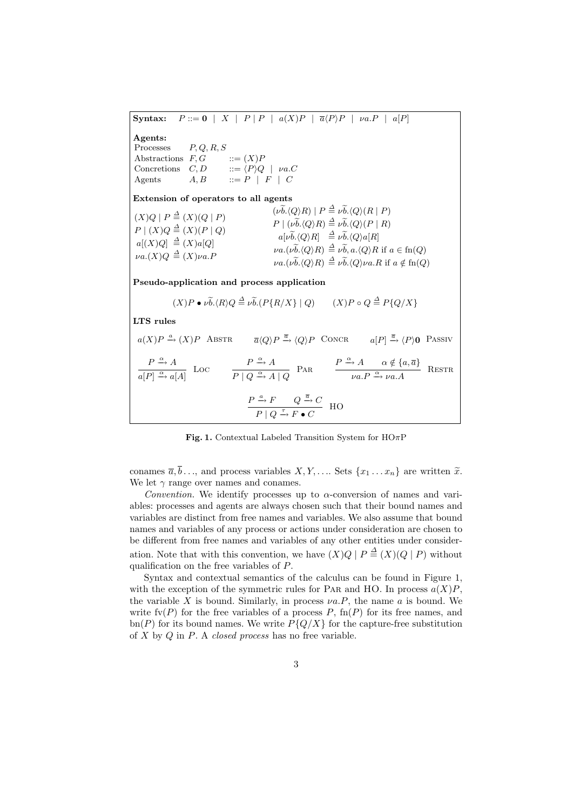Syntax:  $P ::= 0 \mid X \mid P \mid P \mid a(X)P \mid \overline{a}\langle P \rangle P \mid va.P \mid a[P]$ Agents: Processes  $P, Q, R, S$ <br>Abstractions  $F, G$  ::=  $(X)P$ Abstractions  $F, G$ <br>Concretions  $C, D$ Concretions  $C, D$  ::=  $\langle P \rangle Q$  |  $\nu a.C$ Agents  $A, B$  ::=  $P \mid F \mid C$ Extension of operators to all agents  $(X)Q \mid P \stackrel{\Delta}{=} (X)(Q \mid P)$  $P | (X)Q \stackrel{\Delta}{=} (X)(P | Q)$  $a[(X)Q] \stackrel{\Delta}{=} (X)a[Q]$  $\nu a.(X)Q \triangleq (X)\nu a.F$  $(\nu\widetilde{b}\cdot\langle Q\rangle R) | P \stackrel{\Delta}{=} \nu\widetilde{b}\cdot\langle Q\rangle(R | P)$  $P \mid (\nu \widetilde{b}. \langle Q \rangle R) \stackrel{\Delta}{=} \nu \widetilde{b}. \langle Q \rangle (P \mid R)$  $a[\nu \widetilde{b}. \langle Q \rangle R] \stackrel{\Delta}{=} \nu \widetilde{b}. \langle Q \rangle a[R]$  $\nu a.(\nu \widetilde{b}. \langle Q \rangle R) \stackrel{\Delta}{=} \nu \widetilde{b}, a. \langle Q \rangle R$  if  $a \in \text{fn}(Q)$  $\nu a.(\nu \widetilde{b}. \langle Q \rangle R) \stackrel{\Delta}{=} \nu \widetilde{b}. \langle Q \rangle \nu a.R$  if  $a \notin \text{fn}(Q)$ Pseudo-application and process application  $(X)P \bullet \nu \widetilde{b}. \langle R \rangle Q \stackrel{\Delta}{=} \nu \widetilde{b}. (P\{R/X\} \mid Q)$   $(X)P \circ Q \stackrel{\Delta}{=} P\{Q/X\}$ LTS rules  $a(X)P \stackrel{a}{\rightarrow} (X)P$  Abstra  $\overline{a}\langle Q \rangle P \stackrel{\overline{a}}{\rightarrow} \langle Q \rangle P$  Concre  $a[P] \stackrel{\overline{a}}{\rightarrow} \langle P \rangle 0$  Passiv  $P \xrightarrow{\alpha} A$  $\frac{P \xrightarrow{\alpha} A}{a[P] \xrightarrow{\alpha} a[A]}$  Loc  $\qquad \frac{P \xrightarrow{\alpha} A}{P \mid Q \xrightarrow{\alpha} A}$  $\frac{P \stackrel{\alpha}{\rightarrow} A}{P | Q \stackrel{\alpha}{\rightarrow} A | Q}$  PAR  $\frac{P \stackrel{\alpha}{\rightarrow} A \quad \alpha \notin \{a, \overline{a}\}}{\nu a.P \stackrel{\alpha}{\rightarrow} \nu a.A}$  $\frac{\alpha \sqrt{\alpha} \mu}{\nu a \cdot P} \xrightarrow{\alpha} \nu a \cdot A$  RESTR  $P \xrightarrow{a} F \qquad Q \xrightarrow{\overline{a}} C$  $\frac{P}{P | Q \xrightarrow{\tau} F \bullet C}$  HO

Fig. 1. Contextual Labeled Transition System for  $H\text{O}\pi\text{P}$ 

conames  $\overline{a}, \overline{b} \ldots$ , and process variables  $X, Y, \ldots$ . Sets  $\{x_1 \ldots x_n\}$  are written  $\widetilde{x}$ . We let  $\gamma$  range over names and conames.

Convention. We identify processes up to  $\alpha$ -conversion of names and variables: processes and agents are always chosen such that their bound names and variables are distinct from free names and variables. We also assume that bound names and variables of any process or actions under consideration are chosen to be different from free names and variables of any other entities under consideration. Note that with this convention, we have  $(X)Q | P \stackrel{\Delta}{=} (X)(Q | P)$  without qualification on the free variables of P.

Syntax and contextual semantics of the calculus can be found in Figure 1, with the exception of the symmetric rules for PAR and HO. In process  $a(X)P$ , the variable X is bound. Similarly, in process  $\nu a.P$ , the name a is bound. We write  $f\nu(P)$  for the free variables of a process P,  $f\nu(P)$  for its free names, and  $\text{bn}(P)$  for its bound names. We write  $P\{Q/X\}$  for the capture-free substitution of  $X$  by  $Q$  in  $P$ . A *closed process* has no free variable.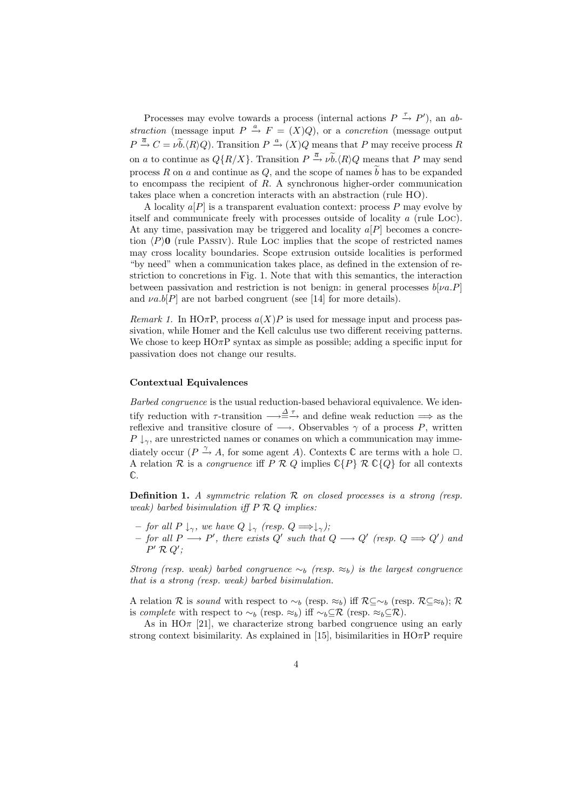Processes may evolve towards a process (internal actions  $P \stackrel{\tau}{\rightarrow} P'$ ), an abstraction (message input  $P \stackrel{a}{\rightarrow} F = (X)Q$ ), or a concretion (message output  $P \stackrel{\overline{a}}{\rightarrow} C = \nu \widetilde{b}. \langle R \rangle Q$ . Transition  $P \stackrel{a}{\rightarrow} (X)Q$  means that P may receive process R on a to continue as  $Q\{R/X\}$ . Transition  $P \stackrel{\overline{a}}{\rightarrow} \nu \widetilde{b}.\langle R \rangle Q$  means that P may send process R on a and continue as Q, and the scope of names  $\tilde{b}$  has to be expanded to encompass the recipient of  $R$ . A synchronous higher-order communication takes place when a concretion interacts with an abstraction (rule HO).

A locality  $a[P]$  is a transparent evaluation context: process P may evolve by itself and communicate freely with processes outside of locality a (rule Loc). At any time, passivation may be triggered and locality  $a[P]$  becomes a concretion  $\langle P \rangle 0$  (rule Passiv). Rule Loc implies that the scope of restricted names may cross locality boundaries. Scope extrusion outside localities is performed "by need" when a communication takes place, as defined in the extension of restriction to concretions in Fig. 1. Note that with this semantics, the interaction between passivation and restriction is not benign: in general processes  $b[\nu a.P]$ and  $\nu a.b[P]$  are not barbed congruent (see [14] for more details).

Remark 1. In HO $\pi$ P, process  $a(X)P$  is used for message input and process passivation, while Homer and the Kell calculus use two different receiving patterns. We chose to keep  $H\text{O}\pi\text{P}$  syntax as simple as possible; adding a specific input for passivation does not change our results.

#### Contextual Equivalences

Barbed congruence is the usual reduction-based behavioral equivalence. We identify reduction with  $\tau$ -transition  $\longrightarrow \stackrel{\Delta \tau}{\longrightarrow}$  and define weak reduction  $\implies$  as the reflexive and transitive closure of  $\longrightarrow$ . Observables  $\gamma$  of a process P, written  $P \downarrow_{\gamma}$ , are unrestricted names or conames on which a communication may immediately occur ( $P \xrightarrow{\gamma} A$ , for some agent A). Contexts  $\mathbb C$  are terms with a hole  $\Box$ . A relation R is a *congruence* iff P R Q implies  $\mathbb{C}\{P\}$  R  $\mathbb{C}\{Q\}$  for all contexts C.

**Definition 1.** A symmetric relation  $\mathcal{R}$  on closed processes is a strong (resp. weak) barbed bisimulation iff  $P R Q$  implies:

- $-$  for all P  $\downarrow_{\gamma}$ , we have  $Q \downarrow_{\gamma}$  (resp.  $Q \Longrightarrow \downarrow_{\gamma}$ );
- − for all  $P \longrightarrow P'$ , there exists Q' such that  $Q \longrightarrow Q'$  (resp.  $Q \Longrightarrow Q'$ ) and  $P' \mathrel{\mathcal{R}} Q';$

Strong (resp. weak) barbed congruence  $\sim_b$  (resp.  $\approx_b$ ) is the largest congruence that is a strong (resp. weak) barbed bisimulation.

A relation R is sound with respect to  $\sim_b$  (resp.  $\approx_b$ ) iff  $\mathcal{R} \subseteq \sim_b$  (resp.  $\mathcal{R} \subseteq \approx_b$ ); R is complete with respect to  $\sim_b$  (resp.  $\approx_b$ ) iff  $\sim_b \subseteq \mathcal{R}$  (resp.  $\approx_b \subseteq \mathcal{R}$ ).

As in  $HO\pi$  [21], we characterize strong barbed congruence using an early strong context bisimilarity. As explained in [15], bisimilarities in  $H\dot{\Omega}_{\pi}P$  require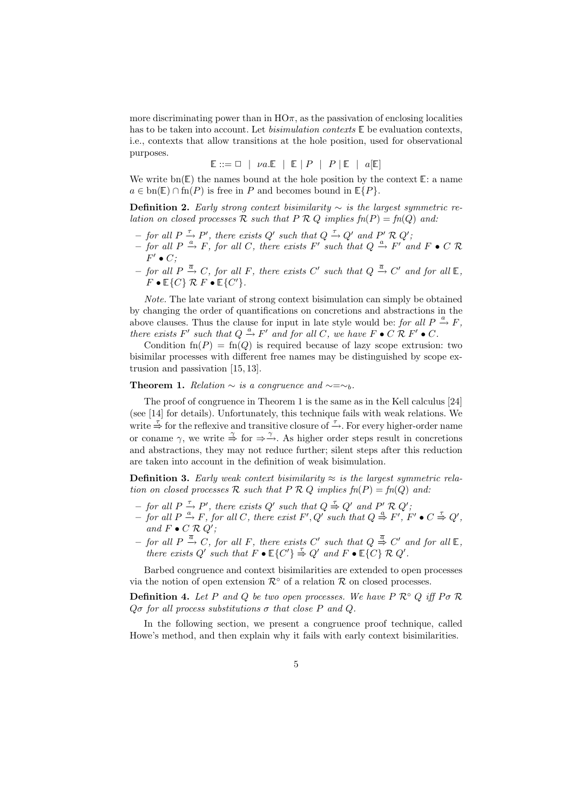more discriminating power than in  $H\Omega_{\pi}$ , as the passivation of enclosing localities has to be taken into account. Let *bisimulation contexts*  $\mathbb E$  be evaluation contexts, i.e., contexts that allow transitions at the hole position, used for observational purposes.

$$
\mathbb{E} ::= \Box \ | \ \mathit{va}.\mathbb{E} \ | \ \mathbb{E} \ | \ P \ | \ P \ | \mathbb{E} \ | \ a[\mathbb{E}]
$$

We write  $\text{bn}(\mathbb{E})$  the names bound at the hole position by the context  $\mathbb{E}:$  a name  $a \in \text{bn}(\mathbb{E}) \cap \text{fn}(P)$  is free in P and becomes bound in  $\mathbb{E}\{P\}.$ 

**Definition 2.** Early strong context bisimilarity  $\sim$  is the largest symmetric relation on closed processes R such that  $P \nR Q$  implies  $fn(P) = fn(Q)$  and:

- − for all  $P \stackrel{\tau}{\rightarrow} P'$ , there exists  $Q'$  such that  $Q \stackrel{\tau}{\rightarrow} Q'$  and  $P' \mathcal{R} Q'$ ;
- $-$  for all P  $\stackrel{a}{\rightarrow}$  F, for all C, there exists F' such that Q  $\stackrel{a}{\rightarrow}$  F' and F  $\bullet$  C R  $F' \bullet C;$
- − for all P  $\stackrel{\overline{a}}{\rightarrow} C$ , for all F, there exists C' such that  $Q \stackrel{\overline{a}}{\rightarrow} C'$  and for all  $\mathbb{E}$ ,  $F \bullet \mathbb{E}\{C\} \mathcal{R} F \bullet \mathbb{E}\{C'\}.$

Note. The late variant of strong context bisimulation can simply be obtained by changing the order of quantifications on concretions and abstractions in the above clauses. Thus the clause for input in late style would be: for all  $P \stackrel{a}{\rightarrow} F$ , there exists F' such that  $Q \xrightarrow{a} F'$  and for all C, we have  $F \bullet C \mathcal{R} F' \bullet C$ .

Condition  $fn(P) = fn(Q)$  is required because of lazy scope extrusion: two bisimilar processes with different free names may be distinguished by scope extrusion and passivation [15, 13].

**Theorem 1.** Relation  $\sim$  is a congruence and  $\sim = \sim_b$ .

The proof of congruence in Theorem 1 is the same as in the Kell calculus [24] (see [14] for details). Unfortunately, this technique fails with weak relations. We write  $\stackrel{\tau}{\Rightarrow}$  for the reflexive and transitive closure of  $\stackrel{\tau}{\rightarrow}$ . For every higher-order name or coname  $\gamma$ , we write  $\stackrel{\gamma}{\Rightarrow}$  for  $\Rightarrow \stackrel{\gamma}{\rightarrow}$ . As higher order steps result in concretions and abstractions, they may not reduce further; silent steps after this reduction are taken into account in the definition of weak bisimulation.

**Definition 3.** Early weak context bisimilarity  $\approx$  is the largest symmetric relation on closed processes R such that  $P \nR Q$  implies  $fn(P) = fn(Q)$  and:

- − for all  $P \stackrel{\tau}{\rightarrow} P'$ , there exists Q' such that  $Q \stackrel{\tau}{\Rightarrow} Q'$  and  $P' \mathcal{R} Q'$ ;
- $-$  for all P  $\stackrel{a}{\rightarrow}$  F, for all C, there exist F', Q' such that Q  $\stackrel{a}{\Rightarrow}$  F', F'  $\bullet$  C  $\stackrel{\tau}{\Rightarrow}$  Q', and  $F \bullet C \mathcal{R} Q'$ ;
- − for all P  $\stackrel{\overline{a}}{\rightarrow} C$ , for all F, there exists C' such that  $Q \stackrel{\overline{a}}{\Rightarrow} C'$  and for all  $\mathbb{E}$ , there exists Q' such that  $F \bullet \mathbb{E}\{C'\} \stackrel{\tau}{\Rightarrow} Q'$  and  $F \bullet \mathbb{E}\{C\} \mathcal{R} Q'$ .

Barbed congruence and context bisimilarities are extended to open processes via the notion of open extension  $\mathcal{R}^{\circ}$  of a relation  $\mathcal{R}$  on closed processes.

**Definition 4.** Let P and Q be two open processes. We have P  $\mathcal{R} \circ Q$  iff  $P \sigma \mathcal{R}$  $Q\sigma$  for all process substitutions  $\sigma$  that close P and Q.

In the following section, we present a congruence proof technique, called Howe's method, and then explain why it fails with early context bisimilarities.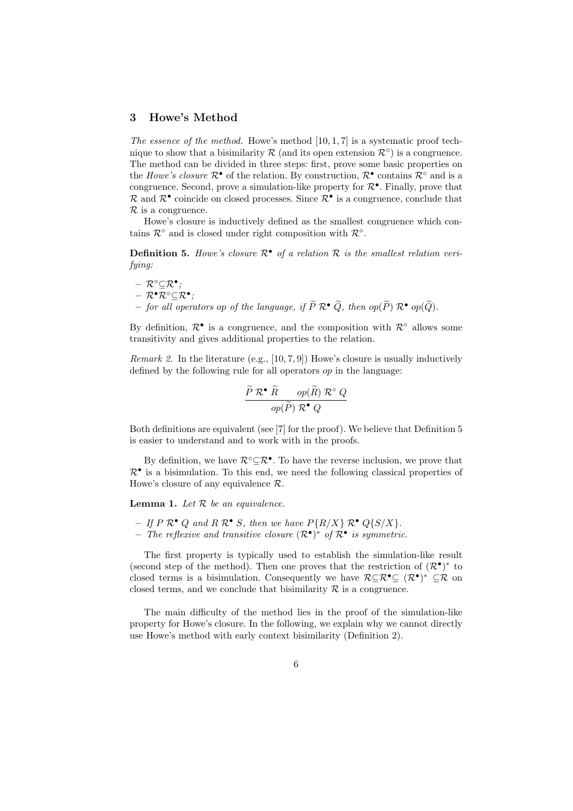## 3 Howe's Method

The essence of the method. Howe's method  $[10, 1, 7]$  is a systematic proof technique to show that a bisimilarity R (and its open extension  $\mathcal{R}^{\circ}$ ) is a congruence. The method can be divided in three steps: first, prove some basic properties on the *Howe's closure*  $\mathcal{R}^{\bullet}$  of the relation. By construction,  $\mathcal{R}^{\bullet}$  contains  $\mathcal{R}^{\circ}$  and is a congruence. Second, prove a simulation-like property for  $\mathcal{R}^{\bullet}$ . Finally, prove that  $\mathcal R$  and  $\mathcal R^{\bullet}$  coincide on closed processes. Since  $\mathcal R^{\bullet}$  is a congruence, conclude that  $\mathcal R$  is a congruence.

Howe's closure is inductively defined as the smallest congruence which contains  $\mathcal{R}^{\circ}$  and is closed under right composition with  $\mathcal{R}^{\circ}$ .

**Definition 5.** Howe's closure  $\mathcal{R}^{\bullet}$  of a relation  $\mathcal{R}$  is the smallest relation verifying:

 $\mathcal{R}^{\circ} \subseteq \mathcal{R}^{\bullet}$  ;  $\mathcal{R}^\bullet\mathcal{R}^\circ \mathcal{\subseteq} \mathcal{R}^\bullet;$ 

– for all operators op of the language, if  $\widetilde{P} \mathcal{R}^{\bullet} \widetilde{Q}$ , then  $op(\widetilde{P}) \mathcal{R}^{\bullet} op(\widetilde{Q})$ .

By definition,  $\mathcal{R}^{\bullet}$  is a congruence, and the composition with  $\mathcal{R}^{\circ}$  allows some transitivity and gives additional properties to the relation.

*Remark 2.* In the literature (e.g.,  $[10, 7, 9]$ ) Howe's closure is usually inductively defined by the following rule for all operators op in the language:

$$
\frac{\widetilde{P}\ \mathcal{R}^{\bullet}\ \widetilde{R}\ \ \text{op}(\widetilde{P})\ \mathcal{R}^{\circ}\ Q}{\text{op}(\widetilde{P})\ \mathcal{R}^{\bullet}\ Q}
$$

Both definitions are equivalent (see [7] for the proof). We believe that Definition 5 is easier to understand and to work with in the proofs.

By definition, we have  $\mathcal{R}^{\circ} \subseteq \mathcal{R}^{\bullet}$ . To have the reverse inclusion, we prove that  $\mathcal{R}^{\bullet}$  is a bisimulation. To this end, we need the following classical properties of Howe's closure of any equivalence R.

**Lemma 1.** Let  $R$  be an equivalence.

- If  $P \mathcal{R}^{\bullet} Q$  and  $R \mathcal{R}^{\bullet} S$ , then we have  $P\{R/X\} \mathcal{R}^{\bullet} Q\{S/X\}$ .
- The reflexive and transitive closure  $(\mathcal{R}^{\bullet})^*$  of  $\mathcal{R}^{\bullet}$  is symmetric.

The first property is typically used to establish the simulation-like result (second step of the method). Then one proves that the restriction of  $(\mathcal{R}^{\bullet})^*$  to closed terms is a bisimulation. Consequently we have  $\mathcal{R} \subseteq \mathcal{R}^{\bullet} \subseteq (\mathcal{R}^{\bullet})^* \subseteq \mathcal{R}$  on closed terms, and we conclude that bisimilarity  $\mathcal R$  is a congruence.

The main difficulty of the method lies in the proof of the simulation-like property for Howe's closure. In the following, we explain why we cannot directly use Howe's method with early context bisimilarity (Definition 2).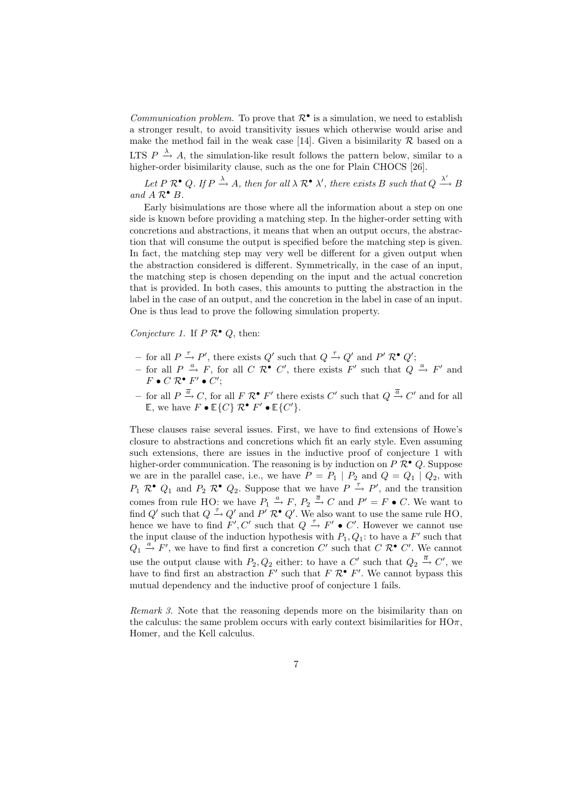*Communication problem.* To prove that  $\mathcal{R}^{\bullet}$  is a simulation, we need to establish a stronger result, to avoid transitivity issues which otherwise would arise and make the method fail in the weak case [14]. Given a bisimilarity  $R$  based on a LTS  $P \stackrel{\lambda}{\rightarrow} A$ , the simulation-like result follows the pattern below, similar to a higher-order bisimilarity clause, such as the one for Plain CHOCS [26].

Let P  $\mathcal{R}^{\bullet}$  Q. If  $P \xrightarrow{\lambda} A$ , then for all  $\lambda \mathcal{R}^{\bullet}$   $\lambda'$ , there exists B such that  $Q \xrightarrow{\lambda'} B$ and  $A \mathcal{R}^{\bullet} B$ .

Early bisimulations are those where all the information about a step on one side is known before providing a matching step. In the higher-order setting with concretions and abstractions, it means that when an output occurs, the abstraction that will consume the output is specified before the matching step is given. In fact, the matching step may very well be different for a given output when the abstraction considered is different. Symmetrically, in the case of an input, the matching step is chosen depending on the input and the actual concretion that is provided. In both cases, this amounts to putting the abstraction in the label in the case of an output, and the concretion in the label in case of an input. One is thus lead to prove the following simulation property.

Conjecture 1. If  $P \mathcal{R}^{\bullet} Q$ , then:

- − for all  $P \stackrel{\tau}{\rightarrow} P'$ , there exists  $Q'$  such that  $Q \stackrel{\tau}{\rightarrow} Q'$  and  $P' R^{\bullet} Q';$
- for all  $P \stackrel{a}{\rightarrow} F$ , for all  $C \mathcal{R}^{\bullet} C'$ , there exists  $F'$  such that  $Q \stackrel{a}{\rightarrow} F'$  and  $F \bullet C \mathcal{R}^{\bullet} F' \bullet C';$
- for all  $P \stackrel{\overline{a}}{\rightarrow} C$ , for all  $F \mathcal{R}^{\bullet} F'$  there exists  $C'$  such that  $Q \stackrel{\overline{a}}{\rightarrow} C'$  and for all  $\mathbb{E},$  we have  $F \bullet \mathbb{E}\{C\} \mathcal{R}^{\bullet} F' \bullet \mathbb{E}\{C'\}.$

These clauses raise several issues. First, we have to find extensions of Howe's closure to abstractions and concretions which fit an early style. Even assuming such extensions, there are issues in the inductive proof of conjecture 1 with higher-order communication. The reasoning is by induction on  $P \mathcal{R}^{\bullet} Q$ . Suppose we are in the parallel case, i.e., we have  $P = P_1 | P_2$  and  $Q = Q_1 | Q_2$ , with  $P_1 \mathcal{R}^{\bullet} Q_1$  and  $P_2 \mathcal{R}^{\bullet} Q_2$ . Suppose that we have  $P \stackrel{\tau}{\rightarrow} P'$ , and the transition comes from rule HO: we have  $P_1 \stackrel{a}{\rightarrow} F$ ,  $P_2 \stackrel{\overline{a}}{\rightarrow} C$  and  $P' = F \bullet C$ . We want to find Q' such that  $Q \stackrel{\tau}{\rightarrow} Q'$  and  $P' \mathcal{R}^{\bullet} Q'$ . We also want to use the same rule HO, hence we have to find  $F', C'$  such that  $Q \stackrel{\tau}{\rightarrow} F' \bullet C'$ . However we cannot use the input clause of the induction hypothesis with  $P_1, Q_1$ : to have a  $F'$  such that  $Q_1 \stackrel{a}{\rightarrow} F'$ , we have to find first a concretion C' such that C  $\mathcal{R}^{\bullet}$  C'. We cannot use the output clause with  $P_2, Q_2$  either: to have a C' such that  $Q_2 \stackrel{\overline{a}}{\rightarrow} C'$ , we have to find first an abstraction  $F'$  such that  $F \mathcal{R}^{\bullet} F'$ . We cannot bypass this mutual dependency and the inductive proof of conjecture 1 fails.

Remark 3. Note that the reasoning depends more on the bisimilarity than on the calculus: the same problem occurs with early context bisimilarities for  $HO\pi$ , Homer, and the Kell calculus.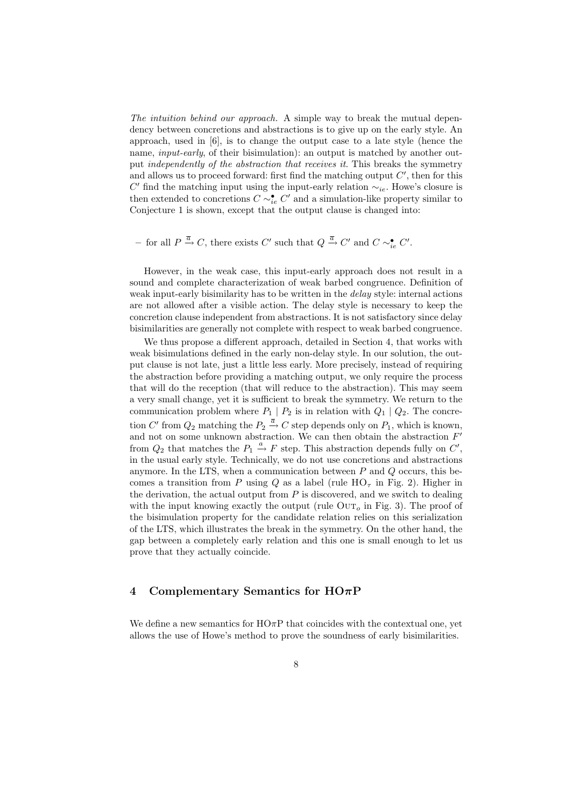The intuition behind our approach. A simple way to break the mutual dependency between concretions and abstractions is to give up on the early style. An approach, used in [6], is to change the output case to a late style (hence the name, *input-early*, of their bisimulation): an output is matched by another output independently of the abstraction that receives it. This breaks the symmetry and allows us to proceed forward: first find the matching output  $C'$ , then for this  $C'$  find the matching input using the input-early relation  $\sim_{ie}$ . Howe's closure is then extended to concretions  $C \sim_{ie}^{\bullet} C'$  and a simulation-like property similar to Conjecture 1 is shown, except that the output clause is changed into:

- for all  $P \stackrel{\overline{a}}{\rightarrow} C$ , there exists  $C'$  such that  $Q \stackrel{\overline{a}}{\rightarrow} C'$  and  $C \sim_{ie}^{\bullet} C'$ .

However, in the weak case, this input-early approach does not result in a sound and complete characterization of weak barbed congruence. Definition of weak input-early bisimilarity has to be written in the *delay* style: internal actions are not allowed after a visible action. The delay style is necessary to keep the concretion clause independent from abstractions. It is not satisfactory since delay bisimilarities are generally not complete with respect to weak barbed congruence.

We thus propose a different approach, detailed in Section 4, that works with weak bisimulations defined in the early non-delay style. In our solution, the output clause is not late, just a little less early. More precisely, instead of requiring the abstraction before providing a matching output, we only require the process that will do the reception (that will reduce to the abstraction). This may seem a very small change, yet it is sufficient to break the symmetry. We return to the communication problem where  $P_1 | P_2$  is in relation with  $Q_1 | Q_2$ . The concretion C' from  $Q_2$  matching the  $P_2 \stackrel{\overline{a}}{\rightarrow} C$  step depends only on  $P_1$ , which is known, and not on some unknown abstraction. We can then obtain the abstraction  $F'$ from  $Q_2$  that matches the  $P_1 \stackrel{a}{\rightarrow} F$  step. This abstraction depends fully on  $C'$ , in the usual early style. Technically, we do not use concretions and abstractions anymore. In the LTS, when a communication between  $P$  and  $Q$  occurs, this becomes a transition from P using Q as a label (rule  $HO_{\tau}$  in Fig. 2). Higher in the derivation, the actual output from  $P$  is discovered, and we switch to dealing with the input knowing exactly the output (rule  $\text{OUT}_o$  in Fig. 3). The proof of the bisimulation property for the candidate relation relies on this serialization of the LTS, which illustrates the break in the symmetry. On the other hand, the gap between a completely early relation and this one is small enough to let us prove that they actually coincide.

#### 4 Complementary Semantics for  $H\text{O}\pi\text{P}$

We define a new semantics for  $H\Omega \pi P$  that coincides with the contextual one, yet allows the use of Howe's method to prove the soundness of early bisimilarities.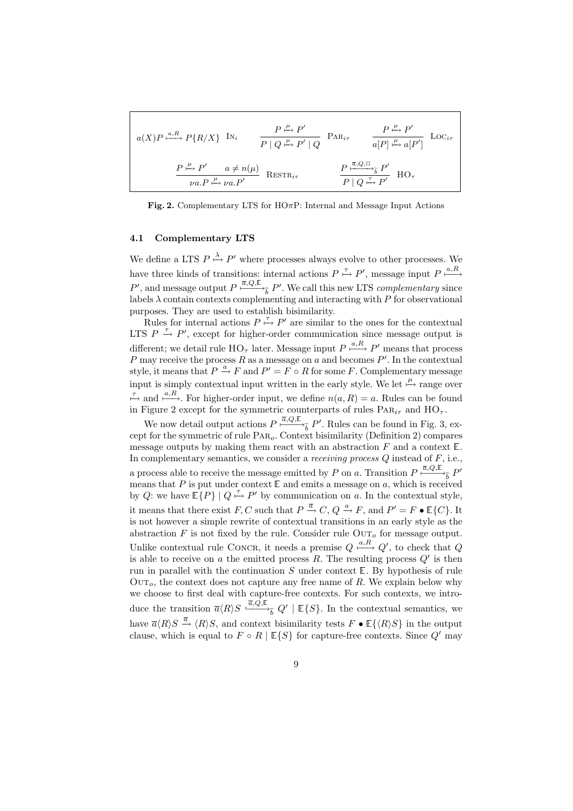$$
a(X)P \xrightarrow{a,R} P\{R/X\} \text{IN}_{i} \qquad \frac{P \xrightarrow{\mu} P'}{P \mid Q \xrightarrow{\mu} P' \mid Q} \text{PAR}_{i\tau} \qquad \frac{P \xrightarrow{\mu} P'}{a[P] \xrightarrow{\mu} a[P']} \text{Loc}_{i\tau}
$$

$$
\frac{P \xrightarrow{\mu} P'}{\nu a.P \xrightarrow{\mu} \nu a.P'} \text{REST}_{i\tau} \qquad \frac{P \xrightarrow{\overline{a}, Q, \square} \xrightarrow{\overline{b}} P'}{P \mid Q \xrightarrow{\overline{r}} P'} \text{ HO}_{\tau}
$$

Fig. 2. Complementary LTS for  $H\text{O}\pi\text{P}$ : Internal and Message Input Actions

#### 4.1 Complementary LTS

We define a LTS  $P \stackrel{\lambda}{\mapsto} P'$  where processes always evolve to other processes. We have three kinds of transitions: internal actions  $P \stackrel{\tau}{\mapsto} P'$ , message input  $P \stackrel{a,R}{\longmapsto}$ P', and message output  $P \xrightarrow{\overline{a}, Q, \mathbb{E}} P'$ . We call this new LTS *complementary* since labels  $\lambda$  contain contexts complementing and interacting with P for observational purposes. They are used to establish bisimilarity.

Rules for internal actions  $P \stackrel{\tau}{\mapsto} P'$  are similar to the ones for the contextual LTS  $P \stackrel{\tau}{\rightarrow} P'$ , except for higher-order communication since message output is different; we detail rule  $HO_{\tau}$  later. Message input  $P \stackrel{a,R}{\longmapsto} P'$  means that process P may receive the process R as a message on a and becomes  $P'$ . In the contextual style, it means that  $P \stackrel{a}{\rightarrow} F$  and  $P' = F \circ R$  for some F. Complementary message input is simply contextual input written in the early style. We let  $\stackrel{\mu}{\mapsto}$  range over  $\stackrel{\tau}{\mapsto}$  and  $\stackrel{a,R}{\longmapsto}$ . For higher-order input, we define  $n(a,R) = a$ . Rules can be found in Figure 2 except for the symmetric counterparts of rules  $\text{PaR}_{i\tau}$  and  $\text{HO}_{\tau}$ .

We now detail output actions  $P \stackrel{\overline{a},Q,\mathbb{E}}{\longrightarrow} P'$ . Rules can be found in Fig. 3, except for the symmetric of rule Par<sub>o</sub>. Context bisimilarity (Definition 2) compares message outputs by making them react with an abstraction  $F$  and a context  $E$ . In complementary semantics, we consider a *receiving process*  $Q$  instead of  $F$ , i.e., a process able to receive the message emitted by P on a. Transition  $P \stackrel{\overline{a}, Q, \mathbb{E}}{\longrightarrow} P'$ means that P is put under context  $E$  and emits a message on a, which is received by Q: we have  $\mathbb{E}\{P\}$  |  $Q \stackrel{\tau}{\mapsto} P'$  by communication on a. In the contextual style, it means that there exist F, C such that  $P \stackrel{\overline{a}}{\rightarrow} C$ ,  $Q \stackrel{a}{\rightarrow} F$ , and  $P' = F \bullet \mathbb{E}\{C\}$ . It is not however a simple rewrite of contextual transitions in an early style as the abstraction  $F$  is not fixed by the rule. Consider rule  $\text{OUT}_o$  for message output. Unlike contextual rule CONCR, it needs a premise  $Q \xrightarrow{a,R} Q'$ , to check that  $Q$ is able to receive on a the emitted process  $R$ . The resulting process  $Q'$  is then run in parallel with the continuation  $S$  under context  $E$ . By hypothesis of rule  $\text{OUT}_o$ , the context does not capture any free name of R. We explain below why we choose to first deal with capture-free contexts. For such contexts, we introduce the transition  $\overline{a}\langle R\rangle S \stackrel{\overline{a},Q,\mathbb{E}}{\longrightarrow_{\widetilde{b}}} Q' | \mathbb{E}\lbrace S\rbrace$ . In the contextual semantics, we have  $\overline{a}\langle R\rangle S \stackrel{\overline{a}}{\rightarrow} \langle R\rangle S$ , and context bisimilarity tests  $F \bullet \mathbb{E}\{\langle R\rangle S\}$  in the output clause, which is equal to  $F \circ R \mid \mathbb{E}{S}$  for capture-free contexts. Since  $Q'$  may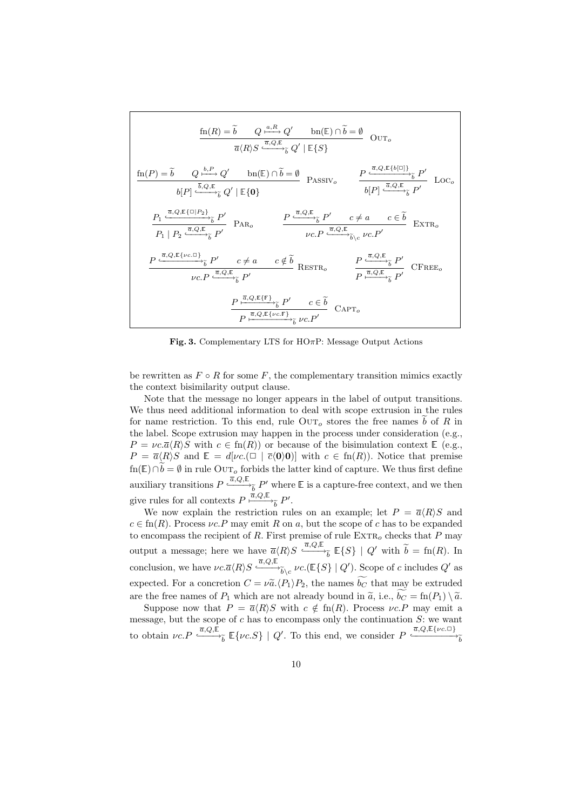$$
\frac{\operatorname{fn}(R) = \tilde{b} \qquad Q \xrightarrow{a, R} Q' \qquad \operatorname{bn}(\mathbb{E}) \cap \tilde{b} = \emptyset}{\overline{a}(R)S \xrightarrow{\overline{a}, Q, \mathbb{E}} \hat{b} Q' | \mathbb{E}\{S\}}
$$
\n
$$
\frac{\operatorname{fn}(P) = \tilde{b} \qquad Q \xrightarrow{b, P} Q' \qquad \operatorname{bn}(\mathbb{E}) \cap \tilde{b} = \emptyset}{b[P] \xrightarrow{\overline{b}, Q, \mathbb{E}} \hat{b} Q' | \mathbb{E}\{0\}}
$$
\n
$$
\frac{P \xrightarrow{\overline{a}, Q, \mathbb{E}\{b[\Box]\}} \hat{b}}{b[P] \xrightarrow{\overline{a}, Q, \mathbb{E}\{1\} \hat{b}} P' \qquad \operatorname{PAR}_o} \qquad \frac{P \xrightarrow{\overline{a}, Q, \mathbb{E}} \hat{b} P' \xrightarrow{b[P]} \frac{\overline{a}, Q, \mathbb{E}\{b[\Box]\}}{\hat{b}P]} \hat{b}}{p \cdot P \xrightarrow{\overline{a}, Q, \mathbb{E}\{1\} \hat{b}} \hat{b}} \qquad \frac{P \xrightarrow{\overline{a}, Q, \mathbb{E}} \hat{b} P' \qquad c \neq a \qquad c \in \tilde{b}}{\nu c \cdot P \xrightarrow{\overline{a}, Q, \mathbb{E}} \hat{b} \cdot c \cdot P'} \qquad \operatorname{EXTR}_o
$$
\n
$$
\frac{P \xrightarrow{\overline{a}, Q, \mathbb{E}\{1\} \cap \hat{b}} \hat{b} P' \qquad c \neq a \qquad c \notin \tilde{b}}{\nu c \cdot P \xrightarrow{\overline{a}, Q, \mathbb{E}} \hat{b} P' \qquad \operatorname{EXTR}_o} \qquad \frac{P \xrightarrow{\overline{a}, Q, \mathbb{E}} \hat{b} P'}{P \xrightarrow{\overline{a}, Q, \mathbb{E}} \hat{b}} \qquad \frac{P \xrightarrow{\overline{a}, Q, \mathbb{E}} \hat{b}}{\rho \xrightarrow{\overline{a}, Q, \mathbb{E}\{1\} \cap \hat{b}} \hat{b}} \qquad \operatorname{CFREE}_o
$$
\n
$$
\frac{P \xrightarrow{\overline{a}, Q
$$

Fig. 3. Complementary LTS for HO $\pi$ P: Message Output Actions

be rewritten as  $F \circ R$  for some F, the complementary transition mimics exactly the context bisimilarity output clause.

Note that the message no longer appears in the label of output transitions. We thus need additional information to deal with scope extrusion in the rules for name restriction. To this end, rule  $\overline{\text{OUT}}_o$  stores the free names  $\tilde{b}$  of R in the label. Scope extrusion may happen in the process under consideration (e.g.,  $P = \nu c.\overline{a}\langle R\rangle S$  with  $c \in \text{fn}(R)$  or because of the bisimulation context  $\mathbb{E}$  (e.g.,  $P = \overline{a} \langle R \rangle S$  and  $\mathbb{E} = d[\nu c.(\Box \mid \overline{c} \langle 0 \rangle 0)]$  with  $c \in \text{fn}(R)$ ). Notice that premise  $fn(\mathbb{E}) \cap \widetilde{b} = \emptyset$  in rule OUT<sub>o</sub> forbids the latter kind of capture. We thus first define auxiliary transitions  $P \stackrel{\overline{a}, Q, \mathbb{E}}{\longrightarrow_{\widetilde{b}}} P'$  where  $\mathbb E$  is a capture-free context, and we then give rules for all contexts  $P \xrightarrow{\bar{a}, Q, \mathbb{E}} P'$ .

We now explain the restriction rules on an example; let  $P = \overline{a}(R)S$  and  $c \in \text{fn}(R)$ . Process  $\nu c \cdot P$  may emit R on a, but the scope of c has to be expanded to encompass the recipient of R. First premise of rule  $\operatorname{EXT}_o$  checks that P may output a message; here we have  $\overline{a}\langle R\rangle S \xrightarrow{\overline{a},Q,\mathbb{E}} \mathbb{E}\lbrace S\rbrace | Q'$  with  $\widetilde{b} = \text{fn}(R)$ . In conclusion, we have  $\nu c.\overline{a}\langle R\rangle S \stackrel{\overline{a},Q,\mathbb{E}}{\longrightarrow}_{\widetilde{b}\setminus c}\nu c.(\mathbb{E}\{S\} \mid Q')$ . Scope of c includes  $Q'$  as expected. For a concretion  $C = \nu \tilde{a}. \langle P_1 \rangle P_2$ , the names  $\widetilde{b_C}$  that may be extruded are the free names of  $P_1$  which are not already bound in  $\tilde{a}$ , i.e.,  $\tilde{b}_C = \text{fn}(P_1) \setminus \tilde{a}$ .

Suppose now that  $P = \overline{a} \langle R \rangle S$  with  $c \notin \text{fn}(R)$ . Process  $\nu c \cdot P$  may emit a message, but the scope of  $c$  has to encompass only the continuation  $S$ : we want to obtain  $\nu c \cdot P \xrightarrow{\overline{a}, Q, \mathbb{E}} {\{\nu c. S\}} \mid Q'$ . To this end, we consider  $P \xrightarrow{\overline{a}, Q, \mathbb{E} {\{\nu c. \Box\}}} {\widetilde{b}}$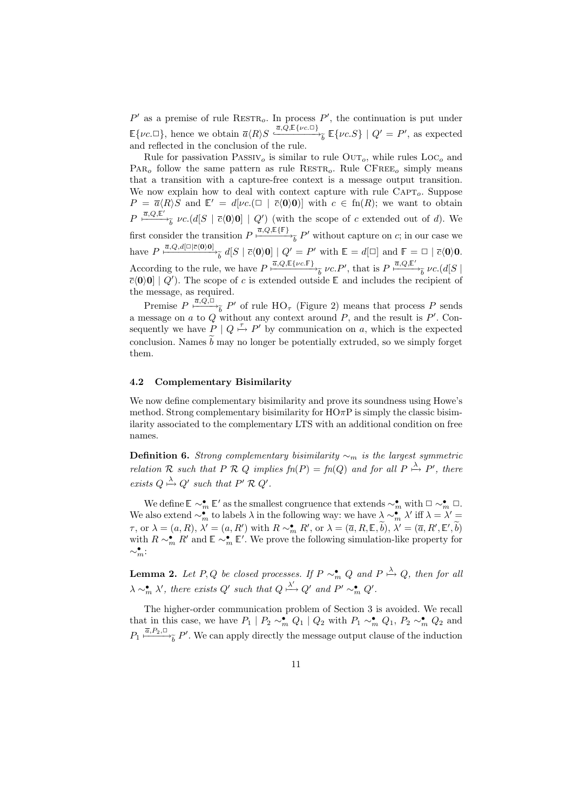$P'$  as a premise of rule RESTR<sub>o</sub>. In process  $P'$ , the continuation is put under  $\mathbb{E}\{\nu c.\Box\}$ , hence we obtain  $\overline{a}\langle R\rangle S \xrightarrow{\overline{a},Q,\mathbb{E}\{\nu c.\Box\}} \mathbb{E}\{\nu c.S\} \mid Q' = P'$ , as expected and reflected in the conclusion of the rule.

Rule for passivation  $PASSIV<sub>o</sub>$  is similar to rule  $OUT<sub>o</sub>$ , while rules  $LOC<sub>o</sub>$  and  $PAR<sub>o</sub>$  follow the same pattern as rule  $RESTR<sub>o</sub>$ . Rule  $CFREE<sub>o</sub>$  simply means that a transition with a capture-free context is a message output transition. We now explain how to deal with context capture with rule  $C_{\text{APT}_o}$ . Suppose  $P = \overline{a} \langle R \rangle S$  and  $\mathbb{E}' = d[\nu c. (\Box \overline{c} \langle 0 \rangle 0)]$  with  $c \in \text{fn}(R)$ ; we want to obtain  $P \xrightarrow{\overline{a},Q,\overline{\mathbb{E}}'} \nu c.(d[S \mid \overline{c}(0)0] \mid Q')$  (with the scope of c extended out of d). We first consider the transition  $P \xrightarrow{\bar{a}, Q, \mathbb{E}\{\mathbb{F}\}} \tilde{b}$  without capture on c; in our case we have  $P \stackrel{\overline{a},Q,d[\Box | \overline{c}(0)0]}{\longrightarrow_{\widetilde{b}}} d[S | \overline{c}(0)0] | Q' = P'$  with  $\mathbb{E} = d[\Box]$  and  $\mathbb{F} = \Box | \overline{c}(0)0$ . According to the rule, we have  $P \xrightarrow{\overline{a}, Q, \mathbb{E}\{\nu c.\mathbb{F}\}}_{\widetilde{b}} \nu c.P'$ , that is  $P \xrightarrow{\overline{a}, Q, \mathbb{E}'}_{\widetilde{b}} \nu c.(d|S|)$  $\overline{c}(0)0$  |  $Q'$ ). The scope of c is extended outside  $\mathbb E$  and includes the recipient of the message, as required.

Premise  $P \xrightarrow{\overline{a}, Q, \square} P'$  of rule  $HO_{\tau}$  (Figure 2) means that process P sends a message on  $a$  to  $Q$  without any context around  $P$ , and the result is  $P'$ . Consequently we have  $P \mid Q \stackrel{\tau}{\mapsto} P'$  by communication on a, which is the expected conclusion. Names  $\tilde{b}$  may no longer be potentially extruded, so we simply forget them.

#### 4.2 Complementary Bisimilarity

We now define complementary bisimilarity and prove its soundness using Howe's method. Strong complementary bisimilarity for  $H\Omega \pi P$  is simply the classic bisimilarity associated to the complementary LTS with an additional condition on free names.

**Definition 6.** Strong complementary bisimilarity  $\sim_m$  is the largest symmetric relation R such that P R Q implies  $fn(P) = fn(Q)$  and for all  $P \stackrel{\lambda}{\mapsto} P'$ , there exists  $Q \stackrel{\lambda}{\mapsto} Q'$  such that  $P' \mathcal{R} Q'$ .

We define  $\mathbb{E} \sim_m^{\bullet} \mathbb{E}'$  as the smallest congruence that extends  $\sim_m^{\bullet}$  with  $\Box \sim_m^{\bullet} \Box$ . We also extend  $\sim_m^{\bullet}$  to labels  $\lambda$  in the following way: we have  $\lambda \sim_m^{\bullet} \lambda'$  iff  $\lambda = \lambda' =$  $\tau$ , or  $\lambda = (a, R), \lambda' = (a, R')$  with  $R \sim_m^{\bullet} R'$ , or  $\lambda = (\overline{a}, R, \mathbb{E}, \widetilde{b}), \lambda' = (\overline{a}, R', \mathbb{E}', \widetilde{b})$ with  $R \sim_m^{\bullet} R'$  and  $\mathbb{E} \sim_m^{\bullet} \mathbb{E}'$ . We prove the following simulation-like property for  $\sim_m^\bullet$ :

**Lemma 2.** Let P, Q be closed processes. If  $P \sim_m^{\bullet} Q$  and  $P \stackrel{\lambda}{\mapsto} Q$ , then for all  $\lambda \sim_m^{\bullet} \lambda'$ , there exists Q' such that  $Q \stackrel{\lambda'}{\longmapsto} Q'$  and  $P' \sim_m^{\bullet} Q'$ .

The higher-order communication problem of Section 3 is avoided. We recall that in this case, we have  $P_1 \, | \, P_2 \sim_m^{\bullet} Q_1 \, | \, Q_2$  with  $P_1 \sim_m^{\bullet} Q_1$ ,  $P_2 \sim_m^{\bullet} Q_2$  and  $P_1 \xrightarrow{\overline{a}, P_2, \square} P'$ . We can apply directly the message output clause of the induction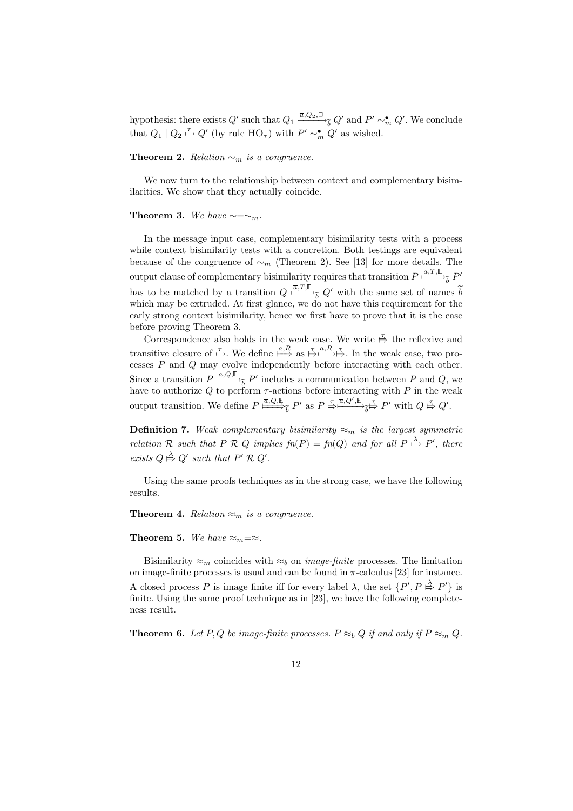hypothesis: there exists  $Q'$  such that  $Q_1 \stackrel{\overline{a},Q_2,\square}{\longmapsto}_{\widetilde{b}} Q'$  and  $P' \sim_m^{\bullet} Q'$ . We conclude that  $Q_1 | Q_2 \stackrel{\tau}{\mapsto} Q'$  (by rule  $HO_{\tau}$ ) with  $P' \sim_m^{\bullet} Q'$  as wished.

Theorem 2. Relation  $\sim_m$  is a congruence.

We now turn to the relationship between context and complementary bisimilarities. We show that they actually coincide.

#### Theorem 3. We have  $\sim=\sim_m$ .

In the message input case, complementary bisimilarity tests with a process while context bisimilarity tests with a concretion. Both testings are equivalent because of the congruence of  $\sim_m$  (Theorem 2). See [13] for more details. The output clause of complementary bisimilarity requires that transition  $P \stackrel{\overline{a},T,\mathbb{E}}{\longmapsto}_{\widetilde{b}} P'$ has to be matched by a transition  $Q \xrightarrow{\bar{a},T,\mathbb{E}} Q'$  with the same set of names  $\tilde{b}$ which may be extruded. At first glance, we do not have this requirement for the early strong context bisimilarity, hence we first have to prove that it is the case before proving Theorem 3.

Correspondence also holds in the weak case. We write  $\stackrel{\tau}{\mapsto}$  the reflexive and transitive closure of  $\stackrel{\tau}{\mapsto}$ . We define  $\stackrel{a,R}{\Longrightarrow}\stackrel{\tau}{\mapsto}$  as  $\stackrel{\tau}{\mapsto} \stackrel{a,R}{\mapsto} \stackrel{\tau}{\mapsto}$ . In the weak case, two processes P and Q may evolve independently before interacting with each other. Since a transition  $P \stackrel{\overline{a}, Q, \mathbb{E}}{\longrightarrow_{\widetilde{b}}} P'$  includes a communication between P and Q, we have to authorize Q to perform  $\tau$ -actions before interacting with P in the weak output transition. We define  $P \stackrel{\overline{a},Q,\mathbb{E}}{\longrightarrow} P'$  as  $P \stackrel{\tau}{\mapsto} \stackrel{\overline{a},Q',\mathbb{E}}{\longrightarrow} \frac{\tau}{b} \stackrel{\tau}{\mapsto} P'$  with  $Q \stackrel{\tau}{\mapsto} Q'$ . Z

**Definition 7.** Weak complementary bisimilarity  $\approx_m$  is the largest symmetric relation R such that P R Q implies  $fn(P) = fn(Q)$  and for all  $P \stackrel{\lambda}{\mapsto} P'$ , there exists  $Q \stackrel{\lambda}{\mapsto} Q'$  such that  $P' \mathcal{R} Q'$ .

Using the same proofs techniques as in the strong case, we have the following results.

**Theorem 4.** Relation  $\approx_m$  is a congruence.

Theorem 5. We have  $\approx_m = \approx$ .

Bisimilarity  $\approx_m$  coincides with  $\approx_b$  on *image-finite* processes. The limitation on image-finite processes is usual and can be found in  $\pi$ -calculus [23] for instance. A closed process P is image finite iff for every label  $\lambda$ , the set  $\{P', P \stackrel{\lambda}{\mapsto} P'\}$  is finite. Using the same proof technique as in [23], we have the following completeness result.

**Theorem 6.** Let P, Q be image-finite processes.  $P \approx_b Q$  if and only if  $P \approx_m Q$ .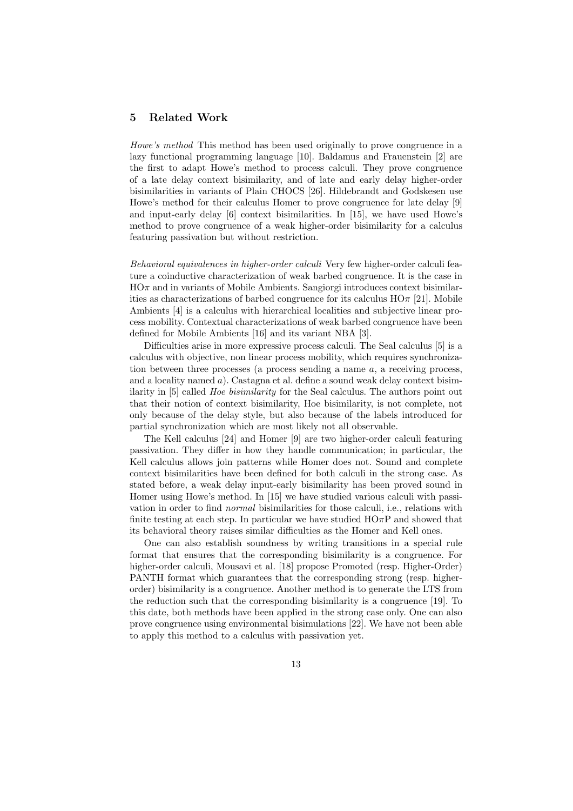#### 5 Related Work

Howe's method This method has been used originally to prove congruence in a lazy functional programming language [10]. Baldamus and Frauenstein [2] are the first to adapt Howe's method to process calculi. They prove congruence of a late delay context bisimilarity, and of late and early delay higher-order bisimilarities in variants of Plain CHOCS [26]. Hildebrandt and Godskesen use Howe's method for their calculus Homer to prove congruence for late delay [9] and input-early delay [6] context bisimilarities. In [15], we have used Howe's method to prove congruence of a weak higher-order bisimilarity for a calculus featuring passivation but without restriction.

Behavioral equivalences in higher-order calculi Very few higher-order calculi feature a coinductive characterization of weak barbed congruence. It is the case in  $H\Omega$ <sup> $\pi$ </sup> and in variants of Mobile Ambients. Sangiorgi introduces context bisimilarities as characterizations of barbed congruence for its calculus  $H\mathcal{O}\pi$  [21]. Mobile Ambients [4] is a calculus with hierarchical localities and subjective linear process mobility. Contextual characterizations of weak barbed congruence have been defined for Mobile Ambients [16] and its variant NBA [3].

Difficulties arise in more expressive process calculi. The Seal calculus [5] is a calculus with objective, non linear process mobility, which requires synchronization between three processes (a process sending a name  $a$ , a receiving process, and a locality named  $a$ ). Castagna et al. define a sound weak delay context bisimilarity in [5] called Hoe bisimilarity for the Seal calculus. The authors point out that their notion of context bisimilarity, Hoe bisimilarity, is not complete, not only because of the delay style, but also because of the labels introduced for partial synchronization which are most likely not all observable.

The Kell calculus [24] and Homer [9] are two higher-order calculi featuring passivation. They differ in how they handle communication; in particular, the Kell calculus allows join patterns while Homer does not. Sound and complete context bisimilarities have been defined for both calculi in the strong case. As stated before, a weak delay input-early bisimilarity has been proved sound in Homer using Howe's method. In [15] we have studied various calculi with passivation in order to find normal bisimilarities for those calculi, i.e., relations with finite testing at each step. In particular we have studied  $H\Omega \pi P$  and showed that its behavioral theory raises similar difficulties as the Homer and Kell ones.

One can also establish soundness by writing transitions in a special rule format that ensures that the corresponding bisimilarity is a congruence. For higher-order calculi, Mousavi et al. [18] propose Promoted (resp. Higher-Order) PANTH format which guarantees that the corresponding strong (resp. higherorder) bisimilarity is a congruence. Another method is to generate the LTS from the reduction such that the corresponding bisimilarity is a congruence [19]. To this date, both methods have been applied in the strong case only. One can also prove congruence using environmental bisimulations [22]. We have not been able to apply this method to a calculus with passivation yet.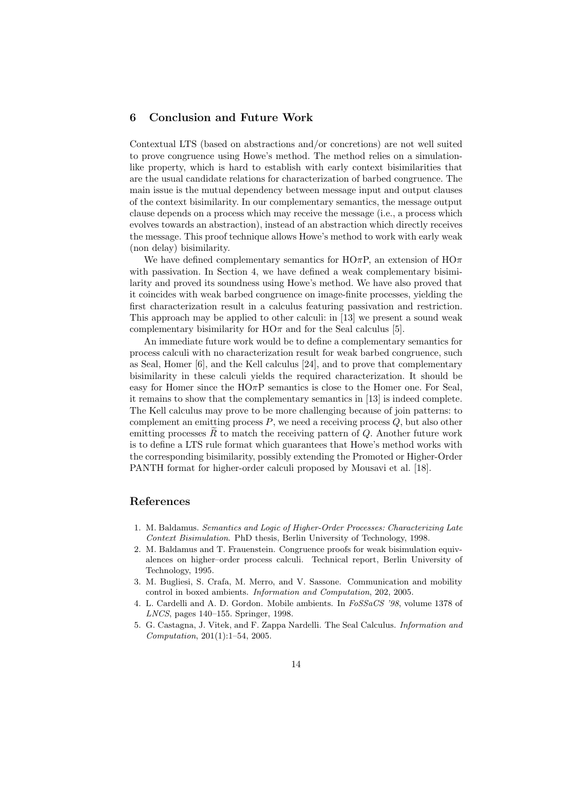### 6 Conclusion and Future Work

Contextual LTS (based on abstractions and/or concretions) are not well suited to prove congruence using Howe's method. The method relies on a simulationlike property, which is hard to establish with early context bisimilarities that are the usual candidate relations for characterization of barbed congruence. The main issue is the mutual dependency between message input and output clauses of the context bisimilarity. In our complementary semantics, the message output clause depends on a process which may receive the message (i.e., a process which evolves towards an abstraction), instead of an abstraction which directly receives the message. This proof technique allows Howe's method to work with early weak (non delay) bisimilarity.

We have defined complementary semantics for HO $\pi$ P, an extension of HO $\pi$ with passivation. In Section 4, we have defined a weak complementary bisimilarity and proved its soundness using Howe's method. We have also proved that it coincides with weak barbed congruence on image-finite processes, yielding the first characterization result in a calculus featuring passivation and restriction. This approach may be applied to other calculi: in [13] we present a sound weak complementary bisimilarity for  $H\Omega$  and for the Seal calculus [5].

An immediate future work would be to define a complementary semantics for process calculi with no characterization result for weak barbed congruence, such as Seal, Homer [6], and the Kell calculus [24], and to prove that complementary bisimilarity in these calculi yields the required characterization. It should be easy for Homer since the  $H\text{O}\pi\text{P}$  semantics is close to the Homer one. For Seal, it remains to show that the complementary semantics in [13] is indeed complete. The Kell calculus may prove to be more challenging because of join patterns: to complement an emitting process  $P$ , we need a receiving process  $Q$ , but also other emitting processes  $R$  to match the receiving pattern of  $Q$ . Another future work is to define a LTS rule format which guarantees that Howe's method works with the corresponding bisimilarity, possibly extending the Promoted or Higher-Order PANTH format for higher-order calculi proposed by Mousavi et al. [18].

#### References

- 1. M. Baldamus. *Semantics and Logic of Higher-Order Processes: Characterizing Late Context Bisimulation*. PhD thesis, Berlin University of Technology, 1998.
- 2. M. Baldamus and T. Frauenstein. Congruence proofs for weak bisimulation equivalences on higher–order process calculi. Technical report, Berlin University of Technology, 1995.
- 3. M. Bugliesi, S. Crafa, M. Merro, and V. Sassone. Communication and mobility control in boxed ambients. *Information and Computation*, 202, 2005.
- 4. L. Cardelli and A. D. Gordon. Mobile ambients. In *FoSSaCS '98*, volume 1378 of *LNCS*, pages 140–155. Springer, 1998.
- 5. G. Castagna, J. Vitek, and F. Zappa Nardelli. The Seal Calculus. *Information and Computation*, 201(1):1–54, 2005.